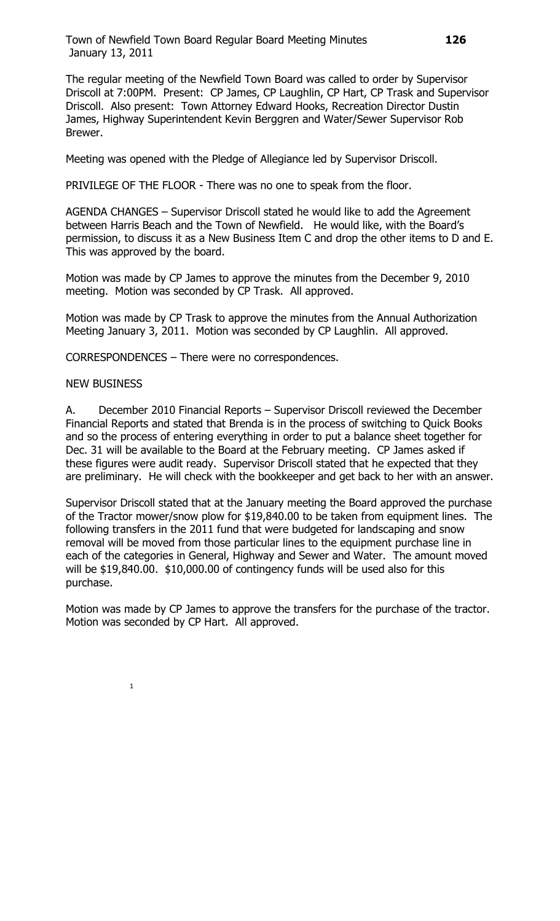Town of Newfield Town Board Regular Board Meeting Minutes **126** January 13, 2011

The regular meeting of the Newfield Town Board was called to order by Supervisor Driscoll at 7:00PM. Present: CP James, CP Laughlin, CP Hart, CP Trask and Supervisor Driscoll. Also present: Town Attorney Edward Hooks, Recreation Director Dustin James, Highway Superintendent Kevin Berggren and Water/Sewer Supervisor Rob Brewer.

Meeting was opened with the Pledge of Allegiance led by Supervisor Driscoll.

PRIVILEGE OF THE FLOOR - There was no one to speak from the floor.

AGENDA CHANGES – Supervisor Driscoll stated he would like to add the Agreement between Harris Beach and the Town of Newfield. He would like, with the Board's permission, to discuss it as a New Business Item C and drop the other items to D and E. This was approved by the board.

Motion was made by CP James to approve the minutes from the December 9, 2010 meeting. Motion was seconded by CP Trask. All approved.

Motion was made by CP Trask to approve the minutes from the Annual Authorization Meeting January 3, 2011. Motion was seconded by CP Laughlin. All approved.

CORRESPONDENCES – There were no correspondences.

## NEW BUSINESS

A. December 2010 Financial Reports – Supervisor Driscoll reviewed the December Financial Reports and stated that Brenda is in the process of switching to Quick Books and so the process of entering everything in order to put a balance sheet together for Dec. 31 will be available to the Board at the February meeting. CP James asked if these figures were audit ready. Supervisor Driscoll stated that he expected that they are preliminary. He will check with the bookkeeper and get back to her with an answer.

Supervisor Driscoll stated that at the January meeting the Board approved the purchase of the Tractor mower/snow plow for \$19,840.00 to be taken from equipment lines. The following transfers in the 2011 fund that were budgeted for landscaping and snow removal will be moved from those particular lines to the equipment purchase line in each of the categories in General, Highway and Sewer and Water. The amount moved will be \$19,840.00. \$10,000.00 of contingency funds will be used also for this purchase.

Motion was made by CP James to approve the transfers for the purchase of the tractor. Motion was seconded by CP Hart. All approved.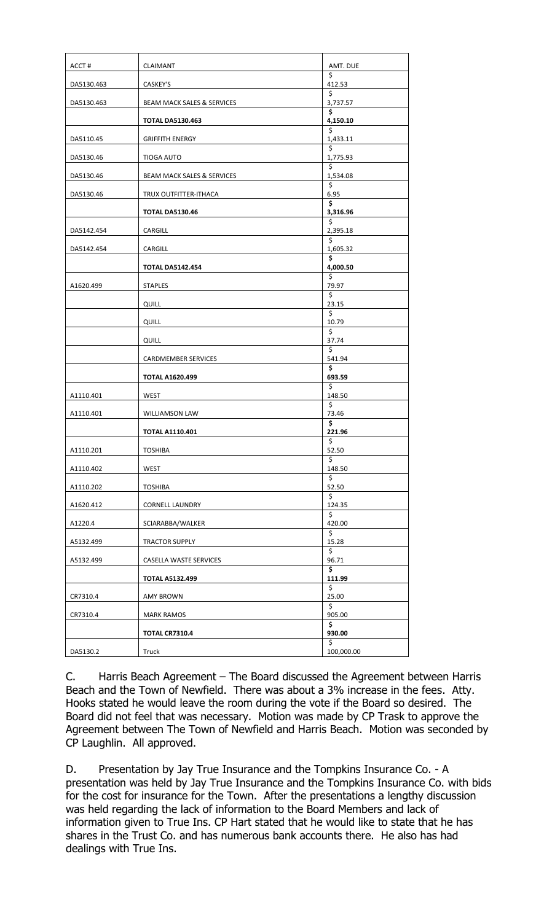| ACCT#      | <b>CLAIMANT</b>                       | AMT. DUE       |
|------------|---------------------------------------|----------------|
| DA5130.463 | CASKEY'S                              | \$<br>412.53   |
| DA5130.463 | <b>BEAM MACK SALES &amp; SERVICES</b> | \$<br>3,737.57 |
|            | <b>TOTAL DA5130.463</b>               | \$<br>4,150.10 |
|            |                                       | Ś              |
| DA5110.45  | <b>GRIFFITH ENERGY</b>                | 1,433.11<br>\$ |
| DA5130.46  | <b>TIOGA AUTO</b>                     | 1,775.93<br>\$ |
| DA5130.46  | <b>BEAM MACK SALES &amp; SERVICES</b> | 1,534.08<br>\$ |
| DA5130.46  | TRUX OUTFITTER-ITHACA                 | 6.95<br>\$     |
|            | <b>TOTAL DA5130.46</b>                | 3,316.96<br>\$ |
| DA5142.454 | CARGILL                               | 2,395.18       |
| DA5142.454 | CARGILL                               | \$<br>1,605.32 |
|            | <b>TOTAL DA5142.454</b>               | \$<br>4,000.50 |
| A1620.499  | <b>STAPLES</b>                        | \$<br>79.97    |
|            | QUILL                                 | \$<br>23.15    |
|            |                                       | \$             |
|            | QUILL                                 | 10.79<br>\$    |
|            | <b>QUILL</b>                          | 37.74<br>\$    |
|            | CARDMEMBER SERVICES                   | 541.94<br>\$   |
|            | <b>TOTAL A1620.499</b>                | 693.59         |
| A1110.401  | WEST                                  | \$<br>148.50   |
| A1110.401  | <b>WILLIAMSON LAW</b>                 | \$<br>73.46    |
|            | <b>TOTAL A1110.401</b>                | \$<br>221.96   |
| A1110.201  | <b>TOSHIBA</b>                        | \$<br>52.50    |
| A1110.402  | WEST                                  | \$<br>148.50   |
|            |                                       | \$             |
| A1110.202  | <b>TOSHIBA</b>                        | 52.50<br>\$    |
| A1620.412  | <b>CORNELL LAUNDRY</b>                | 124.35<br>\$   |
| A1220.4    | SCIARABBA/WALKER                      | 420.00<br>\$   |
| A5132.499  | TRACTOR SUPPLY                        | 15.28<br>\$    |
| A5132.499  | CASELLA WASTE SERVICES                | 96.71          |
|            | <b>TOTAL A5132.499</b>                | \$<br>111.99   |
| CR7310.4   | <b>AMY BROWN</b>                      | \$<br>25.00    |
| CR7310.4   | MARK RAMOS                            | \$<br>905.00   |
|            |                                       | \$<br>930.00   |
|            | <b>TOTAL CR7310.4</b>                 | Ś.             |
| DA5130.2   | Truck                                 | 100,000.00     |

C. Harris Beach Agreement – The Board discussed the Agreement between Harris Beach and the Town of Newfield. There was about a 3% increase in the fees. Atty. Hooks stated he would leave the room during the vote if the Board so desired. The Board did not feel that was necessary. Motion was made by CP Trask to approve the Agreement between The Town of Newfield and Harris Beach. Motion was seconded by CP Laughlin. All approved.

D. Presentation by Jay True Insurance and the Tompkins Insurance Co. - A presentation was held by Jay True Insurance and the Tompkins Insurance Co. with bids for the cost for insurance for the Town. After the presentations a lengthy discussion was held regarding the lack of information to the Board Members and lack of information given to True Ins. CP Hart stated that he would like to state that he has shares in the Trust Co. and has numerous bank accounts there. He also has had dealings with True Ins.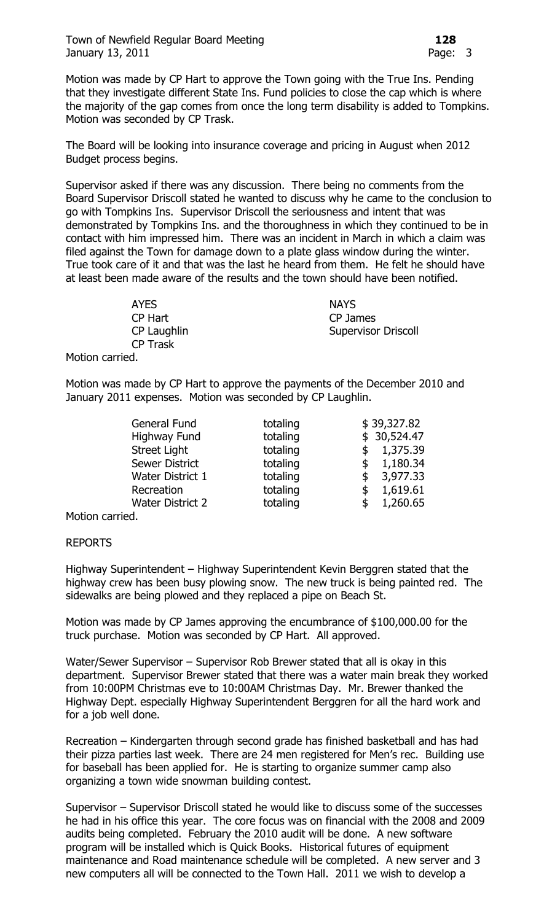Motion was made by CP Hart to approve the Town going with the True Ins. Pending that they investigate different State Ins. Fund policies to close the cap which is where the majority of the gap comes from once the long term disability is added to Tompkins. Motion was seconded by CP Trask.

The Board will be looking into insurance coverage and pricing in August when 2012 Budget process begins.

Supervisor asked if there was any discussion. There being no comments from the Board Supervisor Driscoll stated he wanted to discuss why he came to the conclusion to go with Tompkins Ins. Supervisor Driscoll the seriousness and intent that was demonstrated by Tompkins Ins. and the thoroughness in which they continued to be in contact with him impressed him. There was an incident in March in which a claim was filed against the Town for damage down to a plate glass window during the winter. True took care of it and that was the last he heard from them. He felt he should have at least been made aware of the results and the town should have been notified.

> AYES NAYS CP Hart CP James CP Laughlin Supervisor Driscoll CP Trask

Motion carried.

Motion was made by CP Hart to approve the payments of the December 2010 and January 2011 expenses. Motion was seconded by CP Laughlin.

| General Fund            | totaling | \$39,327.82    |
|-------------------------|----------|----------------|
| Highway Fund            | totaling | \$30,524.47    |
| <b>Street Light</b>     | totaling | \$1,375.39     |
| <b>Sewer District</b>   | totaling | 1,180.34<br>\$ |
| <b>Water District 1</b> | totaling | 3,977.33<br>\$ |
| Recreation              | totaling | 1,619.61<br>\$ |
| <b>Water District 2</b> | totaling | 1,260.65<br>\$ |
|                         |          |                |

Motion carried.

## REPORTS

Highway Superintendent – Highway Superintendent Kevin Berggren stated that the highway crew has been busy plowing snow. The new truck is being painted red. The sidewalks are being plowed and they replaced a pipe on Beach St.

Motion was made by CP James approving the encumbrance of \$100,000.00 for the truck purchase. Motion was seconded by CP Hart. All approved.

Water/Sewer Supervisor – Supervisor Rob Brewer stated that all is okay in this department. Supervisor Brewer stated that there was a water main break they worked from 10:00PM Christmas eve to 10:00AM Christmas Day. Mr. Brewer thanked the Highway Dept. especially Highway Superintendent Berggren for all the hard work and for a job well done.

Recreation – Kindergarten through second grade has finished basketball and has had their pizza parties last week. There are 24 men registered for Men's rec. Building use for baseball has been applied for. He is starting to organize summer camp also organizing a town wide snowman building contest.

Supervisor – Supervisor Driscoll stated he would like to discuss some of the successes he had in his office this year. The core focus was on financial with the 2008 and 2009 audits being completed. February the 2010 audit will be done. A new software program will be installed which is Quick Books. Historical futures of equipment maintenance and Road maintenance schedule will be completed. A new server and 3 new computers all will be connected to the Town Hall. 2011 we wish to develop a